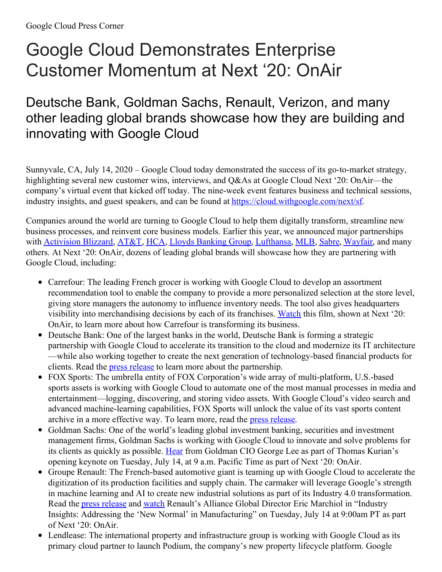## Google Cloud Demonstrates Enterprise Customer Momentum at Next '20: OnAir

## Deutsche Bank, Goldman Sachs, Renault, Verizon, and many other leading global brands showcase how they are building and innovating with Google Cloud

Sunnyvale, CA, July 14, 2020 – Google Cloud today demonstrated the success of its go-to-market strategy, highlighting several new customer wins, interviews, and Q&As at Google Cloud Next '20: OnAir—the company's virtual event that kicked off today. The nine-week event features business and technical sessions, industry insights, and guest speakers, and can be found at [https://cloud.withgoogle.com/next/sf.](https://cloud.withgoogle.com/next/sf)

Companies around the world are turning to Google Cloud to help them digitally transform, streamline new business processes, and reinvent core business models. Earlier this year, we announced major partnerships with [Activision](https://cloud.google.com/press-releases/2020/0124/abk-and-google-enter-relationship) Blizzard, [AT&T](https://cloud.google.com/press-releases/2020/0305/google-cloud-att-collaboration), [HCA](https://cloud.google.com/press-releases/2020/0406/hca-healthcare-teams-with-google-cloud), Lloyds [Banking](https://cloud.google.com/press-releases/2020/0310/lloydsbankinggroup-googlecloud) Group, [Lufthansa](https://cloud.google.com/press-releases/2020/0120/lufthansa/), [MLB](https://cloud.google.com/press-releases/2020/0303/mlb-and-google), [Sabre](https://cloud.google.com/press-releases/2020/0121/sabre-and-google-cloud-partnership), [Wayfair](https://cloud.google.com/press-releases/2020/0110/wayfair-google-cloud), and many others. At Next '20: OnAir, dozens of leading global brands will showcase how they are partnering with Google Cloud, including:

- Carrefour: The leading French grocer is working with Google Cloud to develop an assortment recommendation tool to enable the company to provide a more personalized selection at the store level, giving store managers the autonomy to influence inventory needs. The tool also gives headquarters visibility into merchandising decisions by each of its franchises. [Watch](https://www.youtube.com/watch?v=uDeCD0k6fQs) this film, shown at Next '20: OnAir, to learn more about how Carrefour is transforming its business.
- Deutsche Bank: One of the largest banks in the world, Deutsche Bank is forming a strategic partnership with Google Cloud to accelerate its transition to the cloud and modernize its IT architecture —while also working together to create the next generation of technology-based financial products for clients. Read the press [release](https://cloud.google.com/press-releases/2020/0706/deutsche-bank-and-google) to learn more about the partnership.
- FOX Sports: The umbrella entity of FOX Corporation's wide array of multi-platform, U.S.-based sports assets is working with Google Cloud to automate one of the most manual processes in media and entertainment—logging, discovering, and storing video assets. With Google Cloud's video search and advanced machine-learning capabilities, FOX Sports will unlock the value of its vast sports content archive in a more effective way. To learn more, read the press [release](https://cloud.google.com/press-releases/2020/0714/fox-sports-teams-up-with-google-cloud).
- Goldman Sachs: One of the world's leading global investment banking, securities and investment management firms, Goldman Sachs is working with Google Cloud to innovate and solve problems for its clients as quickly as possible. [Hear](http://cloud.withgoogle.com/next/sf/sessions?session=GENKEY01) from Goldman CIO George Lee as part of Thomas Kurian's opening keynote on Tuesday, July 14, at 9 a.m. Pacific Time as part of Next '20: OnAir.
- Groupe Renault: The French-based automotive giant is teaming up with Google Cloud to accelerate the digitization of its production facilities and supply chain. The carmaker will leverage Google's strength in machine learning and AI to create new industrial solutions as part of its Industry 4.0 transformation. Read the press [release](https://cloud.google.com/press-releases/2020/0709/groupe-renault-and-google-cloud) and [watch](http://cloud.withgoogle.com/next/sf/sessions?session=INDINST106) Renault's Alliance Global Director Eric Marchiol in "Industry Insights: Addressing the 'New Normal' in Manufacturing" on Tuesday, July 14 at 9:00am PT as part of Next '20: OnAir.
- Lendlease: The international property and infrastructure group is working with Google Cloud as its primary cloud partner to launch Podium, the company's new property lifecycle platform. Google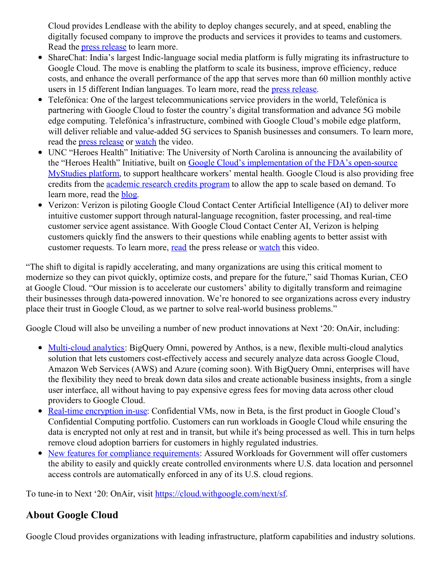Cloud provides Lendlease with the ability to deploy changes securely, and at speed, enabling the digitally focused company to improve the products and services it provides to teams and customers. Read the press [release](https://cloud.google.com/press-releases/2020/0630/lendlease-chooses-google-cloud) to learn more.

- ShareChat: India's largest Indic-language social media platform is fully migrating its infrastructure to Google Cloud. The move is enabling the platform to scale its business, improve efficiency, reduce costs, and enhance the overall performance of the app that serves more than 60 million monthly active users in 15 different Indian languages. To learn more, read the press [release](https://cloud.google.com/press-releases/sharechatmigratestogooglecloudtofulfillgrowthambitions).
- Telefónica: One of the largest telecommunications service providers in the world, Telefónica is partnering with Google Cloud to foster the country's digital transformation and advance 5G mobile edge computing. Telefónica's infrastructure, combined with Google Cloud's mobile edge platform, will deliver reliable and value-added 5G services to Spanish businesses and consumers. To learn more, read the press [release](https://cloud.google.com/press-releases/2020/0611/google-cloud-telefonica-partnership) or [watch](https://www.youtube.com/watch?v=ci0YFd-Vrng) the video.
- UNC "Heroes Health" Initiative: The University of North Carolina is announcing the availability of the "Heroes Health" Initiative, built on Google Cloud's [implementation](https://cloud.google.com/blog/topics/healthcare-life-sciences/fda-mystudies-comes-to-google-cloud) of the FDA's open-source MyStudies platform, to support healthcare workers' mental health. Google Cloud is also providing free credits from the [academic](https://edu.google.com/programs/credits/research/?modal_active=none) research credits program to allow the app to scale based on demand. To learn more, read the **[blog](https://cloud.google.com/blog/topics/customers/supporting-the-heroes-health-app)**.
- Verizon: Verizon is piloting Google Cloud Contact Center Artificial Intelligence (AI) to deliver more intuitive customer support through natural-language recognition, faster processing, and real-time customer service agent assistance. With Google Cloud Contact Center AI, Verizon is helping customers quickly find the answers to their questions while enabling agents to better assist with customer requests. To learn more, [read](https://cloud.google.com/press-releases/2020/0713/vz-google-announcement) the press release or [watch](https://www.youtube.com/watch?v=wyGzyoBq2fU) this video.

"The shift to digital is rapidly accelerating, and many organizations are using this critical moment to modernize so they can pivot quickly, optimize costs, and prepare for the future," said Thomas Kurian, CEO at Google Cloud. "Our mission is to accelerate our customers' ability to digitally transform and reimagine their businesses through data-powered innovation. We're honored to see organizations across every industry place their trust in Google Cloud, as we partner to solve real-world business problems."

Google Cloud will also be unveiling a number of new product innovations at Next '20: OnAir, including:

- [Multi-cloud](https://cloud.google.com/press-releases/2020/0714/bigqueryomni) analytics: BigQuery Omni, powered by Anthos, is a new, flexible multi-cloud analytics solution that lets customers cost-effectively access and securely analyze data across Google Cloud, Amazon Web Services (AWS) and Azure (coming soon). With BigQuery Omni, enterprises will have the flexibility they need to break down data silos and create actionable business insights, from a single user interface, all without having to pay expensive egress fees for moving data across other cloud providers to Google Cloud.
- Real-time [encryption](https://cloud.google.com/press-releases/2020/0714/new-capabilities-to-simplify-security-operations) in-use: Confidential VMs, now in Beta, is the first product in Google Cloud's Confidential Computing portfolio. Customers can run workloads in Google Cloud while ensuring the data is encrypted not only at rest and in transit, but while it's being processed as well. This in turn helps remove cloud adoption barriers for customers in highly regulated industries.
- New features for compliance [requirements](https://cloud.google.com/press-releases/2020/0714/new-capabilities-to-simplify-security-operations): Assured Workloads for Government will offer customers the ability to easily and quickly create controlled environments where U.S. data location and personnel access controls are automatically enforced in any of its U.S. cloud regions.

To tune-in to Next '20: OnAir, visit <https://cloud.withgoogle.com/next/sf>.

## **About Google Cloud**

Google Cloud provides organizations with leading infrastructure, platform capabilities and industry solutions.